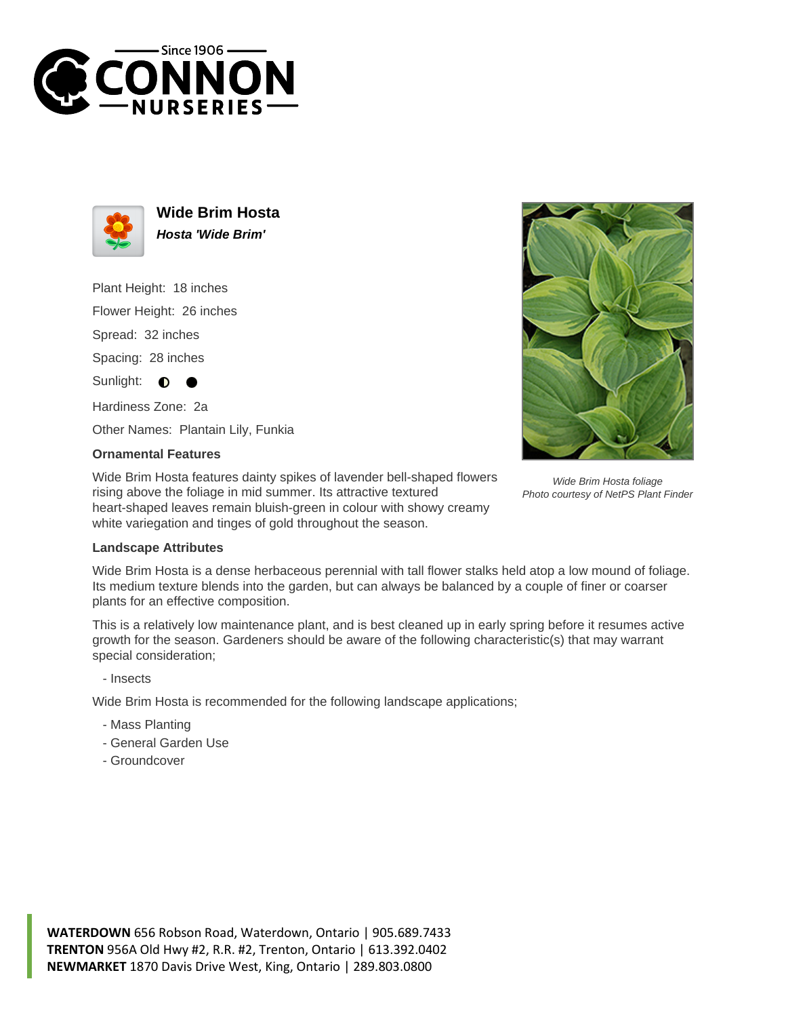



**Wide Brim Hosta Hosta 'Wide Brim'**

Plant Height: 18 inches Flower Height: 26 inches Spread: 32 inches

Spacing: 28 inches

Sunlight:  $\bullet$ 

Hardiness Zone: 2a

Other Names: Plantain Lily, Funkia

## **Ornamental Features**

Wide Brim Hosta features dainty spikes of lavender bell-shaped flowers rising above the foliage in mid summer. Its attractive textured heart-shaped leaves remain bluish-green in colour with showy creamy white variegation and tinges of gold throughout the season.



Wide Brim Hosta foliage Photo courtesy of NetPS Plant Finder

## **Landscape Attributes**

Wide Brim Hosta is a dense herbaceous perennial with tall flower stalks held atop a low mound of foliage. Its medium texture blends into the garden, but can always be balanced by a couple of finer or coarser plants for an effective composition.

This is a relatively low maintenance plant, and is best cleaned up in early spring before it resumes active growth for the season. Gardeners should be aware of the following characteristic(s) that may warrant special consideration;

- Insects

Wide Brim Hosta is recommended for the following landscape applications;

- Mass Planting
- General Garden Use
- Groundcover

**WATERDOWN** 656 Robson Road, Waterdown, Ontario | 905.689.7433 **TRENTON** 956A Old Hwy #2, R.R. #2, Trenton, Ontario | 613.392.0402 **NEWMARKET** 1870 Davis Drive West, King, Ontario | 289.803.0800